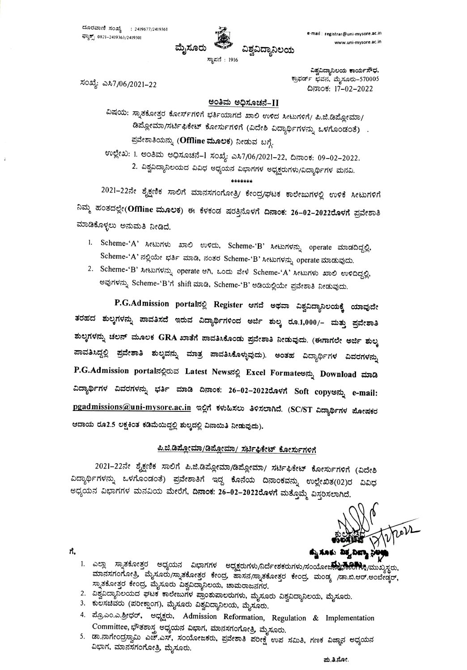

ಸಂಖ್ಯೆ: ಎಸಿ7/06/2021–22

ವಿಶ್ವವಿದ್ಯಾನಿಲಯ ಕಾರ್ಯಸೌಧ, ಕ್ರಾಫರ್ಡ್ ಭವನ, ಮೈಸೂರು-570005 ದಿನಾಂಕ: 17-02-2022

## <u>ಅಂತಿಮ ಅಧಿಸೂಚನೆ–II</u>

ವಿಷಯ: ಸ್ನಾತಕೋತ್ತರ ಕೋರ್ಸ್ಗಳಿಗೆ ಭರ್ತಿಯಾಗದೆ ಖಾಲಿ ಉಳಿದ ಸೀಟುಗಳಿಗೆ/ ಪಿ.ಜಿ.ಡಿಪ್ಲೋಮಾ/ ಡಿಪ್ಲೋಮಾ/ಸರ್ಟಿಫಿಕೇಟ್ ಕೋರ್ಸುಗಳಿಗೆ (ವಿದೇಶಿ ವಿದ್ಯಾರ್ಥಿಗಳನ್ನು ಒಳಗೊಂಡಂತೆ) . ಪ್ರವೇಶಾತಿಯನ್ನು (**Offline ಮೂಲಕ**) ನೀಡುವ ಬಗ್ಗೆ.

ಉಲ್ಲೇಖ: 1. ಅಂತಿಮ ಅಧಿಸೂಚನೆ–1 ಸಂಖ್ಯೆ: ಎಸಿ7/06/2021–22, ದಿನಾಂಕ: 09–02–2022. 2. ವಿಶ್ವವಿದ್ಯಾನಿಲಯದ ವಿವಿಧ ಅಧ್ಯಯನ ವಿಭಾಗಗಳ ಅಧ್ಯಕ್ಷರುಗಳು/ವಿದ್ಯಾರ್ಥಿಗಳ ಮನವಿ.

\*\*\*\*\*\*\*

2021-22ನೇ ಶೈಕ್ಷಣಿಕ ಸಾಲಿಗೆ ಮಾನಸಗಂಗೋತ್ರಿ/ ಕೇಂದ್ರ/ಘಟಕ ಕಾಲೇಜುಗಳಲ್ಲಿ ಉಳಿಕೆ ಸೀಟುಗಳಿಗೆ ನಿಮ್ಮ ಹಂತದಲ್ಲೇ(Offline ಮೂಲಕ) ಈ ಕೆಳಕಂಡ ಷರತ್ತಿನೊಳಗೆ ದಿನಾಂಕ: 26–02–2022ರೊಳಗೆ ಪ್ರವೇಶಾತಿ ಮಾಡಿಕೊಳ್ಳಲು ಅನುಮತಿ ನೀಡಿದೆ.

- 1. Scheme-'A' ಸೀಟುಗಳು ಖಾಲಿ ಉಳಿದು, Scheme-'B' ಸೀಟುಗಳನ್ನು operate ಮಾಡದಿದ್ದಲ್ಲಿ, Scheme-'A' ನಲ್ಲಿಯೇ ಭರ್ತಿ ಮಾಡಿ, ನಂತರ Scheme-'B' ಸೀಟುಗಳನ್ನು operate ಮಾಡುವುದು.
- 2. Scheme-'B' ಸೀಟುಗಳನ್ನು operate ಆಗಿ, ಒಂದು ವೇಳೆ Scheme-'A' ಸೀಟುಗಳು ಖಾಲಿ ಉಳಿದಿದ್ದಲ್ಲಿ, ಅವುಗಳನ್ನು Scheme-'B'ಗೆ shift ಮಾಡಿ, Scheme-'B' ಅಡಿಯಲ್ಲಿಯೇ ಪ್ರವೇಶಾತಿ ನೀಡುವುದು.

P.G.Admission portalನಲ್ಲಿ Register ಆಗದೆ ಅಥವಾ ವಿಶ್ವವಿದ್ಯಾನಿಲಯಕ್ಕೆ ಯಾವುದೇ ತರಹದ ಶುಲ್ಕಗಳನ್ನು ಪಾವತಿಸದೆ ಇರುವ ವಿದ್ಯಾರ್ಥಿಗಳಿಂದ ಅರ್ಜಿ ಶುಲ್ಕ ರೂ.1,000/– ಮತ್ತು ಪ್ರವೇಶಾತಿ ಶುಲ್ಕಗಳನ್ನು ಚಲನ್ ಮೂಲಕ GRA ಖಾತೆಗೆ ಪಾವತಿಸಿಕೊಂಡು ಪ್ರವೇಶಾತಿ ನೀಡುವುದು. (ಈಗಾಗಲೇ ಅರ್ಜಿ ಶುಲ್ಕ ಪಾವತಿಸಿದ್ದಲ್ಲಿ ಪ್ರವೇಶಾತಿ ಶುಲ್ಕವನ್ನು ಮಾತ್ರ ಪಾವತಿಸಿಕೊಳ್ಳುವುದು). ಅಂತಹ ವಿದ್ಯಾರ್ಥಿಗಳ ವಿವರಗಳನ್ನು P.G.Admission portalನಲ್ಲಿರುವ Latest Newsನಲ್ಲಿ Excel Formate ಮೈ Download ಮಾಡಿ ವಿದ್ಯಾರ್ಥಿಗಳ ವಿವರಗಳನ್ನು ಭರ್ತಿ ಮಾಡಿ ದಿನಾಂಕ: 26–02–2022ರೊಳಗೆ Soft copyಅನ್ನು e-mail: pgadmissions@uni-mysore.ac.in ಇಲ್ಲಿಗೆ ಕಳುಹಿಸಲು ತಿಳಿಸಲಾಗಿದೆ. (SC/ST ವಿದ್ಯಾರ್ಥಿಗಳ ಮೋಷಕರ ಆದಾಯ ರೂ2.5 ಲಕ್ಷಕಿಂತ ಕಡಿಮೆಯಿದ್ದಲ್ಲಿ ಶುಲ್ಕದಲ್ಲಿ ವಿನಾಯಿತಿ ನೀಡುವುದು).

## ಪಿ.ಜಿ.ಡಿಪೋಮಾ/ಡಿಪೋಮಾ/ ಸರ್ಟಿಫಿಕೇಟ್ ಕೋರ್ಸುಗಳಿಗೆ

2021–22ನೇ ಶೈಕ್ಷಣಿಕ ಸಾಲಿಗೆ ಪಿ.ಜಿ.ಡಿಪ್ಲೋಮಾ/ಡಿಪ್ಲೋಮಾ/ ಸರ್ಟಿಫಿಕೇಟ್ ಕೋರ್ಸುಗಳಿಗೆ (ವಿದೇಶಿ ವಿದ್ಯಾರ್ಥಿಗಳನ್ನು ಒಳಗೊಂಡಂತೆ) ಪ್ರವೇಶಾತಿಗೆ ಇದ್ದ ಕೊನೆಯ ದಿನಾಂಕವನ್ನು ಉಲ್ಲೇಖಿತ(02)ರ ವಿವಿಧ ಅಧ್ಯಯನ ವಿಭಾಗಗಳ ಮನವಿಯ ಮೇರೆಗೆ, ದಿನಾಂಕ: 26–02–2022ರೊಳಗೆ ಮತ್ತೊಮ್ಮೆ ವಿಸ್ತರಿಸಲಾಗಿದೆ.

ಕ್ಕು ಸೂಕು. ವಿಶ್ವವಿದ್ದಾ ನಿಳ

- 1. ಎಲ್ಲಾ ಸ್ನಾತಕೋತ್ತರ ಅಧ್ಯಯನ ವಿಭಾಗಗಳ ಅಧ್ಯಕ್ಷರುಗಳು/ನಿರ್ದೇಶಕರುಗಳು/ಸಂಯೋಜಿನೆಂದಿ ನಿಧಿಸಿರುವುಸ್ಥರು, ಮಾನಸಗಂಗೋತ್ರಿ ಮೈಸೂರು/ಸ್ನಾತಕೋತ್ತರ ಕೇಂದ್ರ, ಹಾಸನ/ಸ್ನಾತಕೋತ್ತರ ಕೇಂದ್ರ, ಮಂಡ್ಯ /ಡಾ.ಬಿ.ಆರ್.ಅಂಬೇಡ್ಕರ್, ಸ್ನಾತಕೋತ್ತರ ಕೇಂದ್ರ, ಮೈಸೂರು ವಿಶ್ವವಿದ್ಯಾನಿಲಯ, ಚಾಮರಾಜನಗರ.
- 2. ವಿಶ್ವವಿದ್ಯಾನಿಲಯದ ಘಟಕೆ ಕಾಲೇಜುಗಳ ಪ್ರಾಂಶುಪಾಲರುಗಳು, ಮೈಸೂರು ವಿಶ್ವವಿದ್ಯಾನಿಲಯ, ಮೈಸೂರು.
- 3. ಕುಲಸಚಿವರು (ಪರೀಕ್ಷಾಂಗ), ಮೈಸೂರು ವಿಶ್ವವಿದ್ಯಾನಿಲಯ, ಮೈಸೂರು.

ಗೆ.

- 4. ಪ್ರೊಎಂ.ಎ.ಶ್ರೀಧರ್, ಅಧ್ಯಕ್ಷರು, Admission Reformation, Regulation & Implementation Committee, ಭೌತಶಾಸ್ತ್ರ ಅಧ್ಯಯನ ವಿಭಾಗ, ಮಾನಸಗಂಗೋತ್ರಿ, ಮೈಸೂರು.
- 5. ಡಾ.ನಾಗೇಂದ್ರಸ್ವಾಮಿ ಎಚ್.ಎಸ್, ಸಂಯೋಜಕರು, ಪ್ರವೇಶಾತಿ ಪರೀಕ್ಷೆ ಉಪ ಸಮಿತಿ, ಗಣಕ ವಿಜ್ಞಾನ ಅಧ್ಯಯನ ವಿಭಾಗ, ಮಾನಸಗಂಗೋತ್ರಿ, ಮೈಸೂರು.

ಮ.ತಿ.ನೋ.